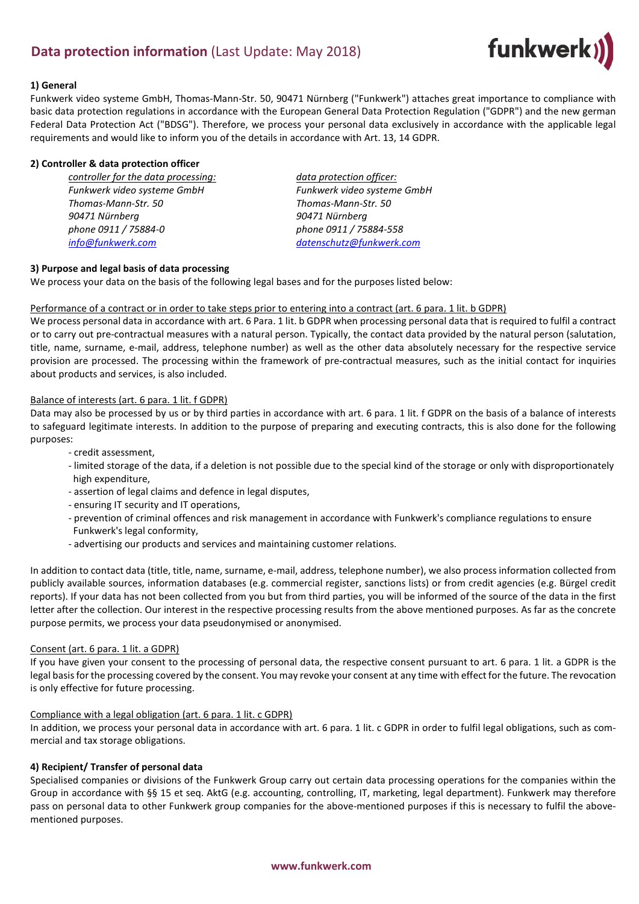# **Data protection information** (Last Update: May 2018)



#### **1) General**

Funkwerk video systeme GmbH, Thomas-Mann-Str. 50, 90471 Nürnberg ("Funkwerk") attaches great importance to compliance with basic data protection regulations in accordance with the European General Data Protection Regulation ("GDPR") and the new german Federal Data Protection Act ("BDSG"). Therefore, we process your personal data exclusively in accordance with the applicable legal requirements and would like to inform you of the details in accordance with Art. 13, 14 GDPR.

#### **2) Controller & data protection officer**

*controller for the data processing: data protection officer: Funkwerk video systeme GmbH Funkwerk video systeme GmbH Thomas-Mann-Str. 50 Thomas-Mann-Str. 50 90471 Nürnberg 90471 Nürnberg phone 0911 / 75884-0 phone 0911 / 75884-558 [info@funkwerk.com](mailto:info@funkwerk.com) [datenschutz@funkwerk.com](mailto:datenschutz@funkwerk.com)*

### **3) Purpose and legal basis of data processing**

We process your data on the basis of the following legal bases and for the purposes listed below:

#### Performance of a contract or in order to take steps prior to entering into a contract (art. 6 para. 1 lit. b GDPR)

We process personal data in accordance with art. 6 Para. 1 lit. b GDPR when processing personal data that is required to fulfil a contract or to carry out pre-contractual measures with a natural person. Typically, the contact data provided by the natural person (salutation, title, name, surname, e-mail, address, telephone number) as well as the other data absolutely necessary for the respective service provision are processed. The processing within the framework of pre-contractual measures, such as the initial contact for inquiries about products and services, is also included.

### Balance of interests (art. 6 para. 1 lit. f GDPR)

Data may also be processed by us or by third parties in accordance with art. 6 para. 1 lit. f GDPR on the basis of a balance of interests to safeguard legitimate interests. In addition to the purpose of preparing and executing contracts, this is also done for the following purposes:

- credit assessment,
- limited storage of the data, if a deletion is not possible due to the special kind of the storage or only with disproportionately high expenditure,
- assertion of legal claims and defence in legal disputes,
- ensuring IT security and IT operations,
- prevention of criminal offences and risk management in accordance with Funkwerk's compliance regulations to ensure Funkwerk's legal conformity,
- advertising our products and services and maintaining customer relations.

In addition to contact data (title, title, name, surname, e-mail, address, telephone number), we also process information collected from publicly available sources, information databases (e.g. commercial register, sanctions lists) or from credit agencies (e.g. Bürgel credit reports). If your data has not been collected from you but from third parties, you will be informed of the source of the data in the first letter after the collection. Our interest in the respective processing results from the above mentioned purposes. As far as the concrete purpose permits, we process your data pseudonymised or anonymised.

#### Consent (art. 6 para. 1 lit. a GDPR)

If you have given your consent to the processing of personal data, the respective consent pursuant to art. 6 para. 1 lit. a GDPR is the legal basis for the processing covered by the consent. You may revoke your consent at any time with effect for the future. The revocation is only effective for future processing.

#### Compliance with a legal obligation (art. 6 para. 1 lit. c GDPR)

In addition, we process your personal data in accordance with art. 6 para. 1 lit. c GDPR in order to fulfil legal obligations, such as commercial and tax storage obligations.

## **4) Recipient/ Transfer of personal data**

Specialised companies or divisions of the Funkwerk Group carry out certain data processing operations for the companies within the Group in accordance with §§ 15 et seq. AktG (e.g. accounting, controlling, IT, marketing, legal department). Funkwerk may therefore pass on personal data to other Funkwerk group companies for the above-mentioned purposes if this is necessary to fulfil the abovementioned purposes.